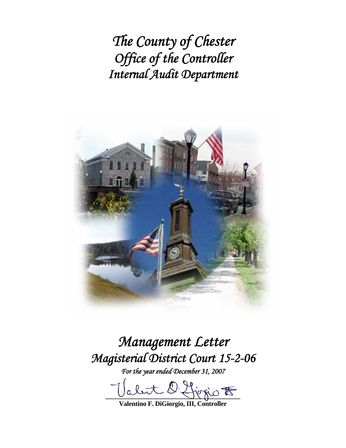*The County of Chester Office of the Controller Internal Audit Department* 



*Management Letter Magisterial District Court 15-2-06* 

*For the year ended December 31, 2007* 

let O. Hirrio F

**Valentino F. DiGiorgio, III, Controller**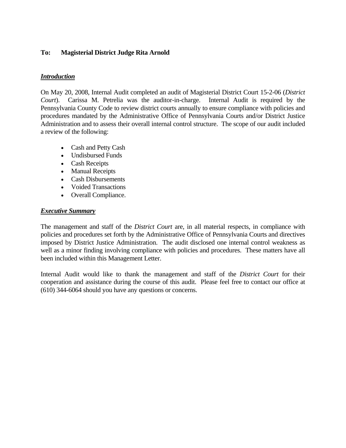### **To: Magisterial District Judge Rita Arnold**

### *Introduction*

On May 20, 2008, Internal Audit completed an audit of Magisterial District Court 15-2-06 (*District Court*). Carissa M. Petrelia was the auditor-in-charge. Internal Audit is required by the Pennsylvania County Code to review district courts annually to ensure compliance with policies and procedures mandated by the Administrative Office of Pennsylvania Courts and/or District Justice Administration and to assess their overall internal control structure. The scope of our audit included a review of the following:

- Cash and Petty Cash
- Undisbursed Funds
- Cash Receipts
- Manual Receipts
- Cash Disbursements
- Voided Transactions
- Overall Compliance.

### *Executive Summary*

The management and staff of the *District Court* are, in all material respects, in compliance with policies and procedures set forth by the Administrative Office of Pennsylvania Courts and directives imposed by District Justice Administration. The audit disclosed one internal control weakness as well as a minor finding involving compliance with policies and procedures. These matters have all been included within this Management Letter.

Internal Audit would like to thank the management and staff of the *District Court* for their cooperation and assistance during the course of this audit. Please feel free to contact our office at (610) 344-6064 should you have any questions or concerns.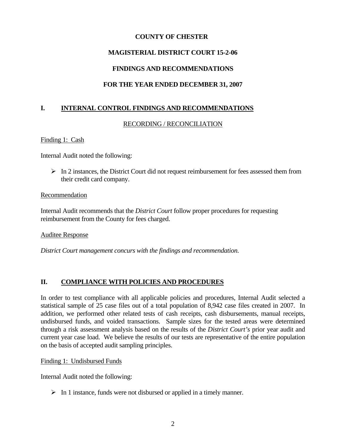## **COUNTY OF CHESTER**

# **MAGISTERIAL DISTRICT COURT 15-2-06**

## **FINDINGS AND RECOMMENDATIONS**

## **FOR THE YEAR ENDED DECEMBER 31, 2007**

## **I. INTERNAL CONTROL FINDINGS AND RECOMMENDATIONS**

#### RECORDING / RECONCILIATION

#### Finding 1: Cash

Internal Audit noted the following:

 $\triangleright$  In 2 instances, the District Court did not request reimbursement for fees assessed them from their credit card company.

#### Recommendation

Internal Audit recommends that the *District Court* follow proper procedures for requesting reimbursement from the County for fees charged.

Auditee Response

*District Court management concurs with the findings and recommendation.* 

### **II. COMPLIANCE WITH POLICIES AND PROCEDURES**

In order to test compliance with all applicable policies and procedures, Internal Audit selected a statistical sample of 25 case files out of a total population of 8,942 case files created in 2007. In addition, we performed other related tests of cash receipts, cash disbursements, manual receipts, undisbursed funds, and voided transactions. Sample sizes for the tested areas were determined through a risk assessment analysis based on the results of the *District Court's* prior year audit and current year case load. We believe the results of our tests are representative of the entire population on the basis of accepted audit sampling principles.

#### Finding 1: Undisbursed Funds

Internal Audit noted the following:

 $\triangleright$  In 1 instance, funds were not disbursed or applied in a timely manner.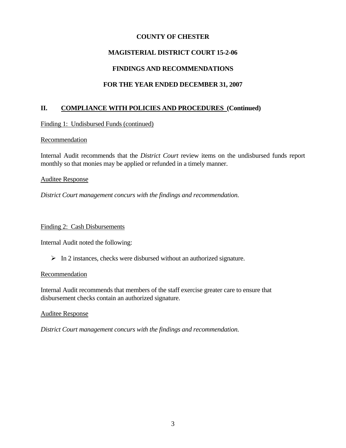### **COUNTY OF CHESTER**

## **MAGISTERIAL DISTRICT COURT 15-2-06**

## **FINDINGS AND RECOMMENDATIONS**

# **FOR THE YEAR ENDED DECEMBER 31, 2007**

## **II. COMPLIANCE WITH POLICIES AND PROCEDURES (Continued)**

Finding 1: Undisbursed Funds (continued)

#### Recommendation

Internal Audit recommends that the *District Court* review items on the undisbursed funds report monthly so that monies may be applied or refunded in a timely manner.

#### Auditee Response

*District Court management concurs with the findings and recommendation.* 

#### Finding 2: Cash Disbursements

Internal Audit noted the following:

 $\triangleright$  In 2 instances, checks were disbursed without an authorized signature.

#### Recommendation

Internal Audit recommends that members of the staff exercise greater care to ensure that disbursement checks contain an authorized signature.

Auditee Response

*District Court management concurs with the findings and recommendation.*